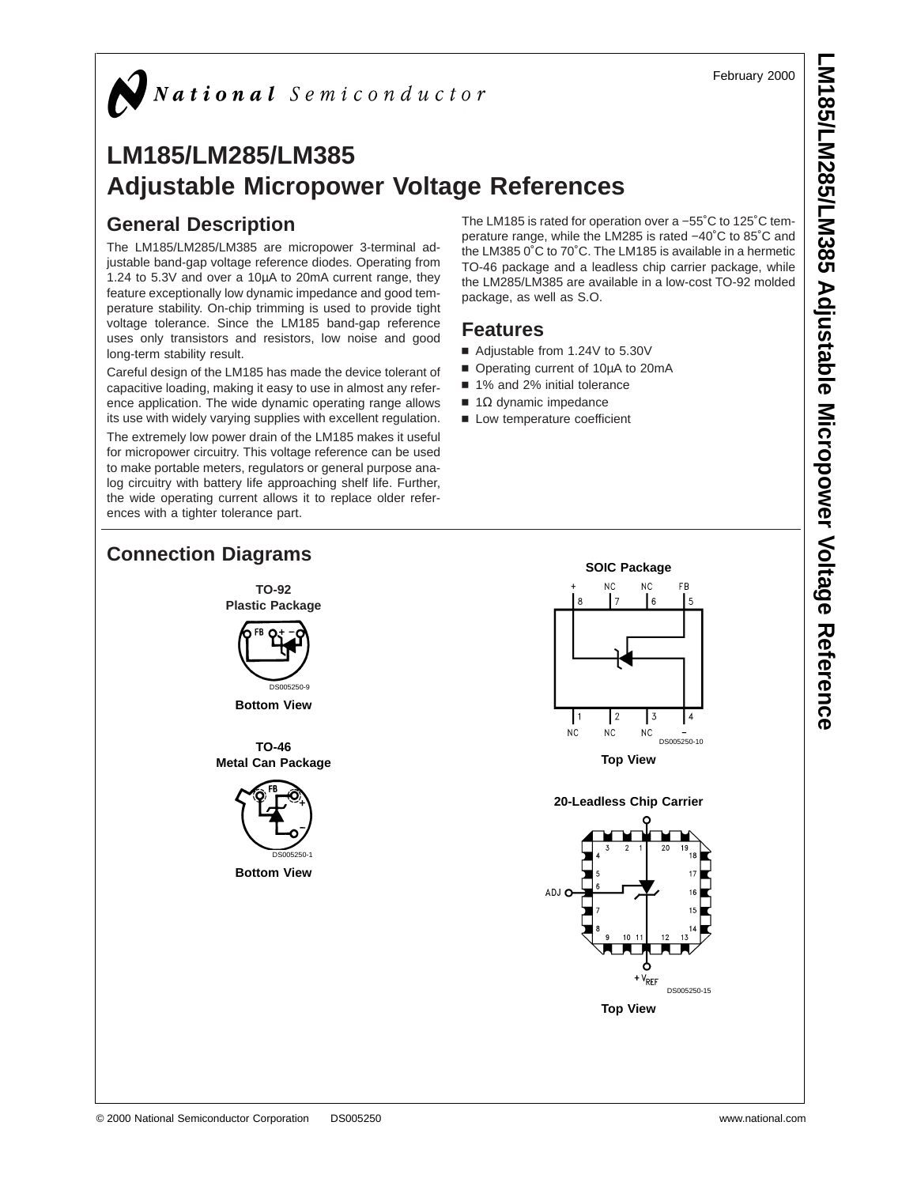February 2000

# $\bigg)$  National Semiconductor

# **LM185/LM285/LM385 Adjustable Micropower Voltage References**

#### **General Description**

The LM185/LM285/LM385 are micropower 3-terminal adjustable band-gap voltage reference diodes. Operating from 1.24 to 5.3V and over a 10µA to 20mA current range, they feature exceptionally low dynamic impedance and good temperature stability. On-chip trimming is used to provide tight voltage tolerance. Since the LM185 band-gap reference uses only transistors and resistors, low noise and good long-term stability result.

Careful design of the LM185 has made the device tolerant of capacitive loading, making it easy to use in almost any reference application. The wide dynamic operating range allows its use with widely varying supplies with excellent regulation.

The extremely low power drain of the LM185 makes it useful for micropower circuitry. This voltage reference can be used to make portable meters, regulators or general purpose analog circuitry with battery life approaching shelf life. Further, the wide operating current allows it to replace older references with a tighter tolerance part.

The LM185 is rated for operation over a −55˚C to 125˚C temperature range, while the LM285 is rated −40˚C to 85˚C and the LM385 0˚C to 70˚C. The LM185 is available in a hermetic TO-46 package and a leadless chip carrier package, while the LM285/LM385 are available in a low-cost TO-92 molded package, as well as S.O.

#### **Features**

- Adjustable from 1.24V to 5.30V
- Operating current of 10µA to 20mA
- 1% and 2% initial tolerance
- $\blacksquare$  1Ω dynamic impedance
- Low temperature coefficient

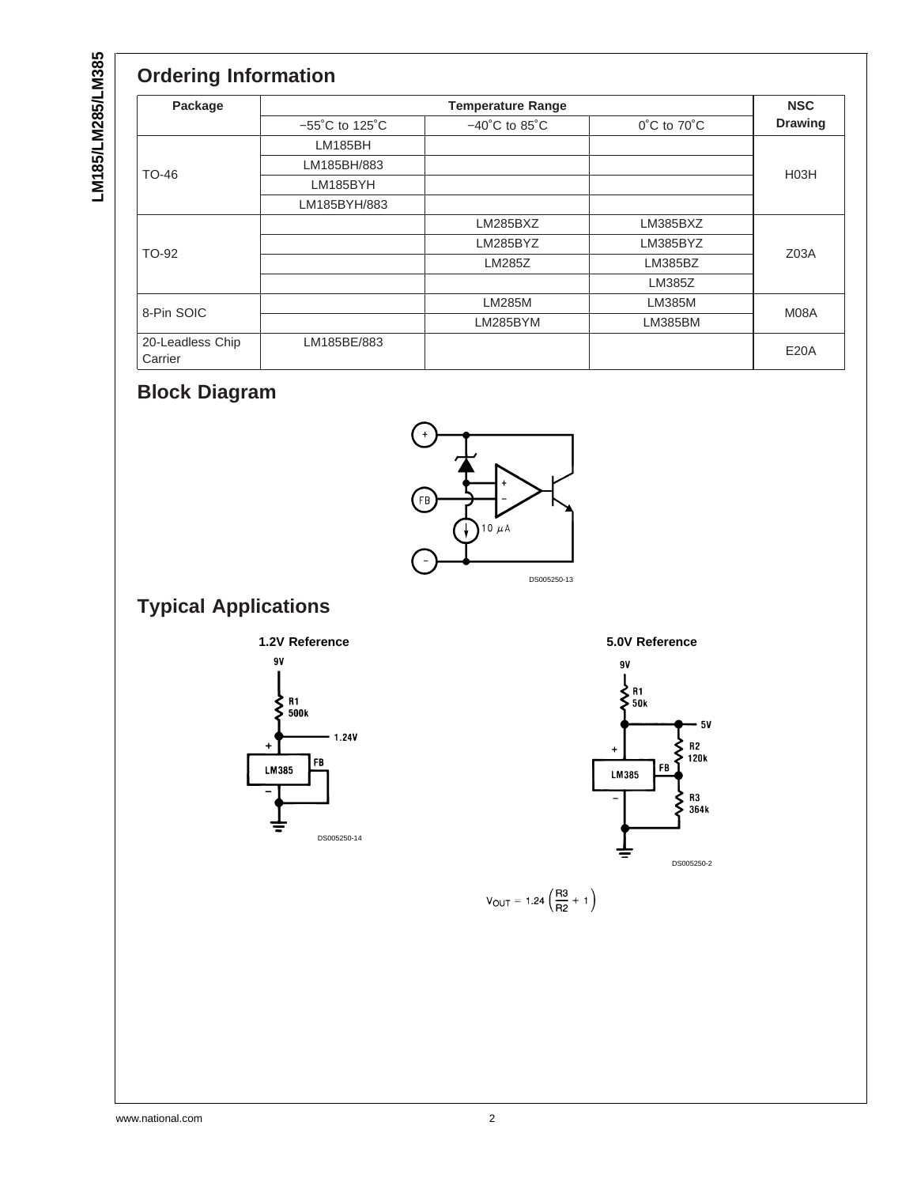LM185/LM285/LM385 **LM185/LM285/LM385**

| Package                     | <b>Temperature Range</b>            |                                    |                                 |                   |  |  |  |
|-----------------------------|-------------------------------------|------------------------------------|---------------------------------|-------------------|--|--|--|
|                             | $-55^{\circ}$ C to 125 $^{\circ}$ C | $-40^{\circ}$ C to 85 $^{\circ}$ C | $0^{\circ}$ C to $70^{\circ}$ C | <b>Drawing</b>    |  |  |  |
|                             | <b>LM185BH</b>                      |                                    |                                 |                   |  |  |  |
| TO-46                       | LM185BH/883                         |                                    |                                 | H <sub>03</sub> H |  |  |  |
|                             | LM185BYH                            |                                    |                                 |                   |  |  |  |
|                             | LM185BYH/883                        |                                    |                                 |                   |  |  |  |
|                             |                                     | LM285BXZ                           | LM385BXZ                        |                   |  |  |  |
| TO-92                       |                                     | LM285BYZ                           | LM385BYZ                        | Z <sub>03A</sub>  |  |  |  |
|                             |                                     | <b>LM285Z</b>                      | LM385BZ                         |                   |  |  |  |
|                             |                                     |                                    | LM385Z                          |                   |  |  |  |
|                             |                                     | <b>LM285M</b>                      | <b>LM385M</b>                   |                   |  |  |  |
| 8-Pin SOIC                  |                                     | LM285BYM                           | <b>LM385BM</b>                  | M08A              |  |  |  |
| 20-Leadless Chip<br>Carrier | LM185BE/883                         |                                    |                                 | <b>E20A</b>       |  |  |  |

# **Block Diagram**



# **Typical Applications**







$$
V_{OUT} = 1.24 \left(\frac{R3}{R2} + 1\right)
$$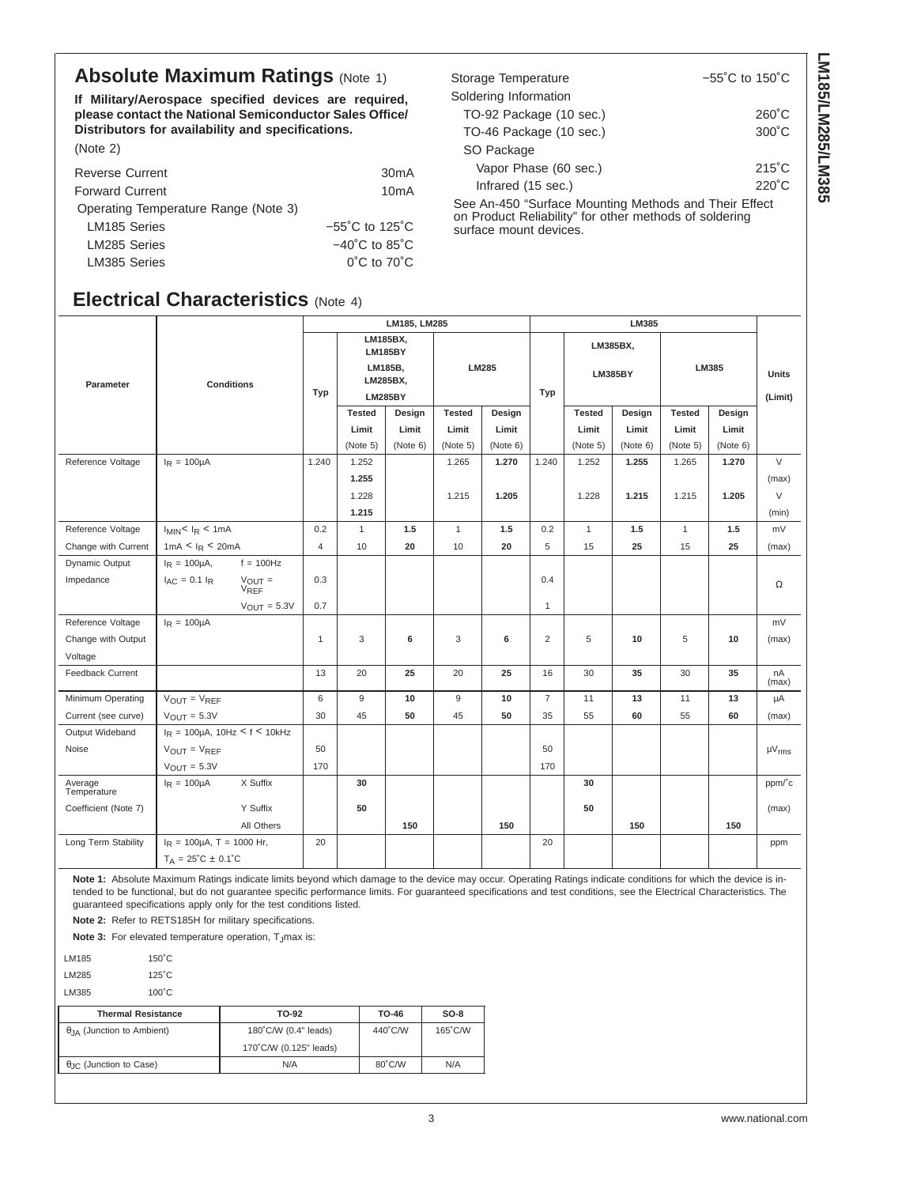#### **Absolute Maximum Ratings (Note 1)**

**If Military/Aerospace specified devices are required, please contact the National Semiconductor Sales Office/ Distributors for availability and specifications.** (Note 2)

| <b>Reverse Current</b>               | 30 <sub>m</sub> A                   |
|--------------------------------------|-------------------------------------|
| <b>Forward Current</b>               | 10 <sub>m</sub> A                   |
| Operating Temperature Range (Note 3) |                                     |
| LM185 Series                         | $-55^{\circ}$ C to 125 $^{\circ}$ C |
| LM285 Series                         | $-40^{\circ}$ C to 85 $^{\circ}$ C  |
| LM385 Series                         | $0^{\circ}$ C to $70^{\circ}$ C     |

#### **Electrical Characteristics** (Note 4)

| Storage Temperature                                     | $-55^{\circ}$ C to 150 $^{\circ}$ C |
|---------------------------------------------------------|-------------------------------------|
| Soldering Information                                   |                                     |
| TO-92 Package (10 sec.)                                 | $260^{\circ}$ C                     |
| TO-46 Package (10 sec.)                                 | $300^{\circ}$ C                     |
| SO Package                                              |                                     |
| Vapor Phase (60 sec.)                                   | $215^{\circ}$ C                     |
| Infrared (15 sec.)                                      | $220^\circ C$                       |
| Cas An 450 "Currence Mounting Mathania and Thair Effect |                                     |

**LM185/LM285/LM385**

LM185/LM285/LM385

See An-450 "Surface Mounting Methods and Their Effect on Product Reliability" for other methods of soldering surface mount devices.

|                        |                                                         | LM185, LM285 |                                                                     |          |               |          | LM385          |                            |          |               |          |                         |
|------------------------|---------------------------------------------------------|--------------|---------------------------------------------------------------------|----------|---------------|----------|----------------|----------------------------|----------|---------------|----------|-------------------------|
| Parameter              | <b>Conditions</b>                                       | Typ          | LM185BX,<br><b>LM185BY</b><br>LM185B,<br>LM285BX,<br><b>LM285BY</b> |          | LM285         |          | Typ            | LM385BX,<br><b>LM385BY</b> |          | LM385         |          | <b>Units</b><br>(Limit) |
|                        |                                                         |              | <b>Tested</b>                                                       | Design   | <b>Tested</b> | Design   |                | <b>Tested</b>              | Design   | <b>Tested</b> | Design   |                         |
|                        |                                                         |              | Limit                                                               | Limit    | Limit         | Limit    |                | Limit                      | Limit    | Limit         | Limit    |                         |
|                        |                                                         |              | (Note 5)                                                            | (Note 6) | (Note 5)      | (Note 6) |                | (Note 5)                   | (Note 6) | (Note 5)      | (Note 6) |                         |
| Reference Voltage      | $I_R = 100 \mu A$                                       | 1.240        | 1.252                                                               |          | 1.265         | 1.270    | 1.240          | 1.252                      | 1.255    | 1.265         | 1.270    | $\vee$                  |
|                        |                                                         |              | 1.255                                                               |          |               |          |                |                            |          |               |          | (max)                   |
|                        |                                                         |              | 1.228                                                               |          | 1.215         | 1.205    |                | 1.228                      | 1.215    | 1.215         | 1.205    | V                       |
|                        |                                                         |              | 1.215                                                               |          |               |          |                |                            |          |               |          | (min)                   |
| Reference Voltage      | $I_{MIN}$ < $I_R$ < 1mA                                 | 0.2          | $\mathbf{1}$                                                        | 1.5      | $\mathbf{1}$  | 1.5      | 0.2            | $\mathbf{1}$               | 1.5      | $\mathbf{1}$  | 1.5      | mV                      |
| Change with Current    | 1mA < I <sub>R</sub> < 20mA                             | 4            | 10                                                                  | 20       | 10            | 20       | 5              | 15                         | 25       | 15            | 25       | (max)                   |
| Dynamic Output         | $f = 100$ Hz<br>$I_R = 100 \mu A$ ,                     |              |                                                                     |          |               |          |                |                            |          |               |          |                         |
| Impedance              | $I_{AC} = 0.1 I_R$<br>$V_{\text{OUT}} =$<br><b>VREF</b> | 0.3          |                                                                     |          |               |          | 0.4            |                            |          |               |          | Ω                       |
|                        | $V_{OUT} = 5.3V$                                        | 0.7          |                                                                     |          |               |          | $\mathbf{1}$   |                            |          |               |          |                         |
| Reference Voltage      | $I_R = 100 \mu A$                                       |              |                                                                     |          |               |          |                |                            |          |               |          | mV                      |
| Change with Output     |                                                         | $\mathbf{1}$ | 3                                                                   | 6        | 3             | 6        | $\overline{2}$ | 5                          | 10       | 5             | 10       | (max)                   |
| Voltage                |                                                         |              |                                                                     |          |               |          |                |                            |          |               |          |                         |
| Feedback Current       |                                                         | 13           | 20                                                                  | 25       | 20            | 25       | 16             | 30                         | 35       | 30            | 35       | nA<br>(max)             |
| Minimum Operating      | $V_{OUT} = V_{REF}$                                     | 6            | $\mathsf g$                                                         | 10       | $9\,$         | 10       | $\overline{7}$ | 11                         | 13       | 11            | 13       | μA                      |
| Current (see curve)    | $V_{\text{OUT}} = 5.3V$                                 | 30           | 45                                                                  | 50       | 45            | 50       | 35             | 55                         | 60       | 55            | 60       | (max)                   |
| Output Wideband        | $I_R = 100 \mu A$ , $10Hz < f < 10kHz$                  |              |                                                                     |          |               |          |                |                            |          |               |          |                         |
| Noise                  | $V_{OUT} = V_{REF}$                                     | 50           |                                                                     |          |               |          | 50             |                            |          |               |          | $\mu V_{rms}$           |
|                        | $V_{\text{OUT}} = 5.3V$                                 | 170          |                                                                     |          |               |          | 170            |                            |          |               |          |                         |
| Average<br>Temperature | $I_R = 100 \mu A$<br>X Suffix                           |              | 30                                                                  |          |               |          |                | 30                         |          |               |          | ppm/°c                  |
| Coefficient (Note 7)   | Y Suffix                                                |              | 50                                                                  |          |               |          |                | 50                         |          |               |          | (max)                   |
|                        | All Others                                              |              |                                                                     | 150      |               | 150      |                |                            | 150      |               | 150      |                         |
| Long Term Stability    | $I_R = 100 \mu A$ , T = 1000 Hr,                        | 20           |                                                                     |          |               |          | 20             |                            |          |               |          | ppm                     |
|                        | $T_A = 25^{\circ}C \pm 0.1^{\circ}C$                    |              |                                                                     |          |               |          |                |                            |          |               |          |                         |

**Note 1:** Absolute Maximum Ratings indicate limits beyond which damage to the device may occur. Operating Ratings indicate conditions for which the device is intended to be functional, but do not guarantee specific performance limits. For guaranteed specifications and test conditions, see the Electrical Characteristics. The guaranteed specifications apply only for the test conditions listed.

**Note 2:** Refer to RETS185H for military specifications.

**Note 3:** For elevated temperature operation, T<sub>J</sub>max is:

LM185 150˚C LM285 125˚C

LM385 100°C

| <b>Thermal Resistance</b>                 | TO-92                  | TO-46  | $SO-8$  |  |  |
|-------------------------------------------|------------------------|--------|---------|--|--|
| $\theta_{IA}$ (Junction to Ambient)       | 180°C/W (0.4" leads)   |        | 165°C/W |  |  |
|                                           | 170°C/W (0.125" leads) |        |         |  |  |
| $\theta$ <sub>JC</sub> (Junction to Case) | N/A                    | 80°C/W | N/A     |  |  |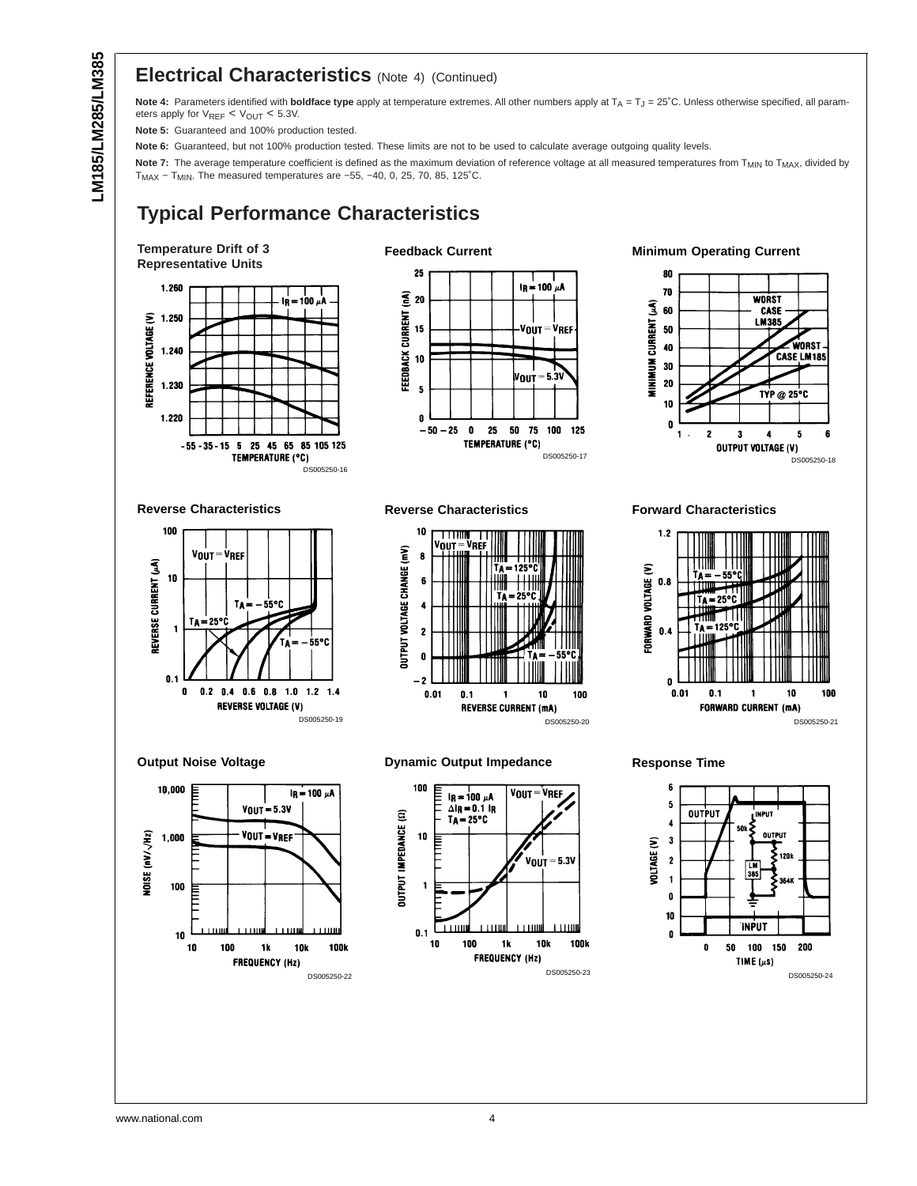#### **Electrical Characteristics** (Note 4) (Continued)

Note 4: Parameters identified with boldface type apply at temperature extremes. All other numbers apply at T<sub>A</sub> = T<sub>J</sub> = 25°C. Unless otherwise specified, all parameters apply for  $V_{REF} < V_{OUT} < 5.3V$ .

**Note 5:** Guaranteed and 100% production tested.

**Note 6:** Guaranteed, but not 100% production tested. These limits are not to be used to calculate average outgoing quality levels.

Note 7: The average temperature coefficient is defined as the maximum deviation of reference voltage at all measured temperatures from T<sub>MIN</sub> to T<sub>MAX</sub>, divided by TMAX − TMIN. The measured temperatures are −55, −40, 0, 25, 70, 85, 125˚C.

#### **Typical Performance Characteristics**

DS005250-16







**Minimum Operating Current**



**Reverse Characteristics**



**Output Noise Voltage**



**Reverse Characteristics**



#### **Dynamic Output Impedance**



**Forward Characteristics**





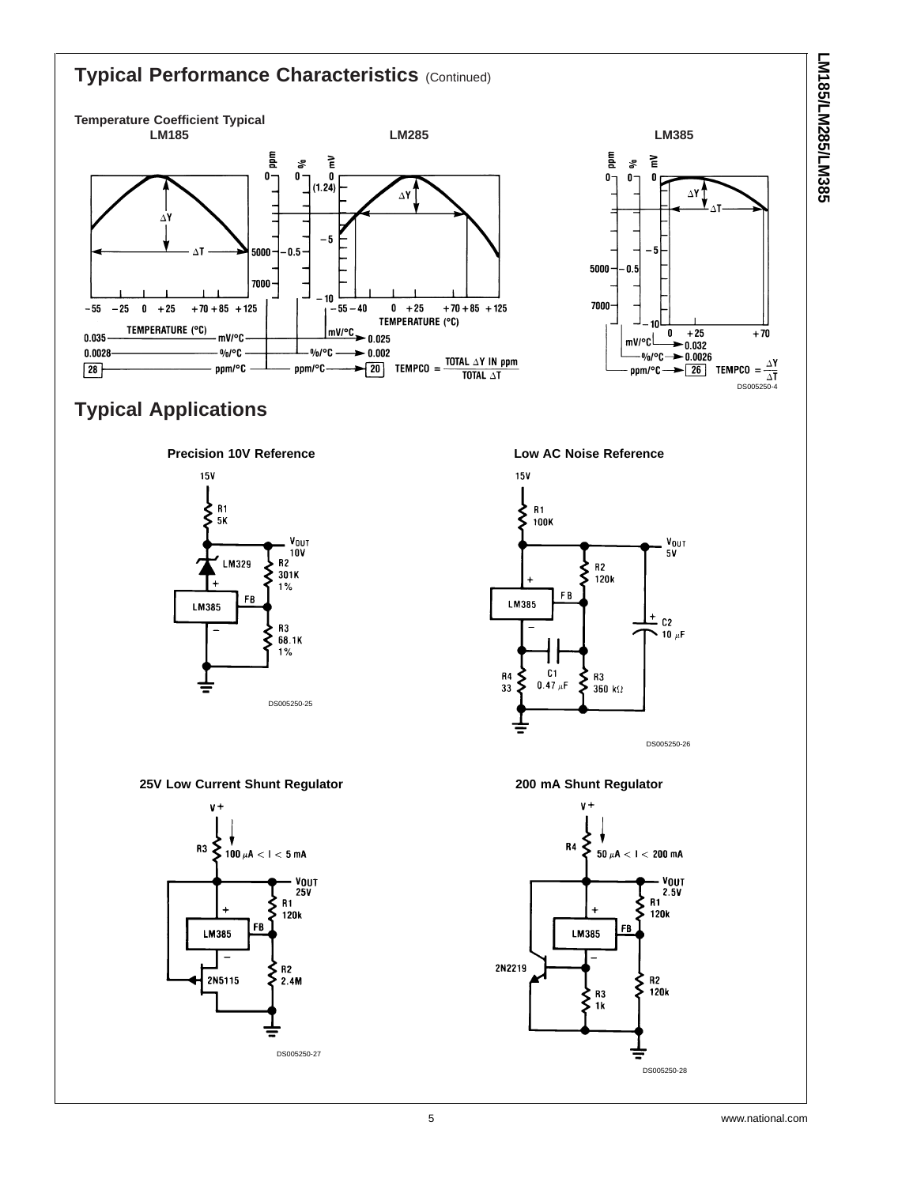

LM185/LM285/LM385 **LM185/LM285/LM385**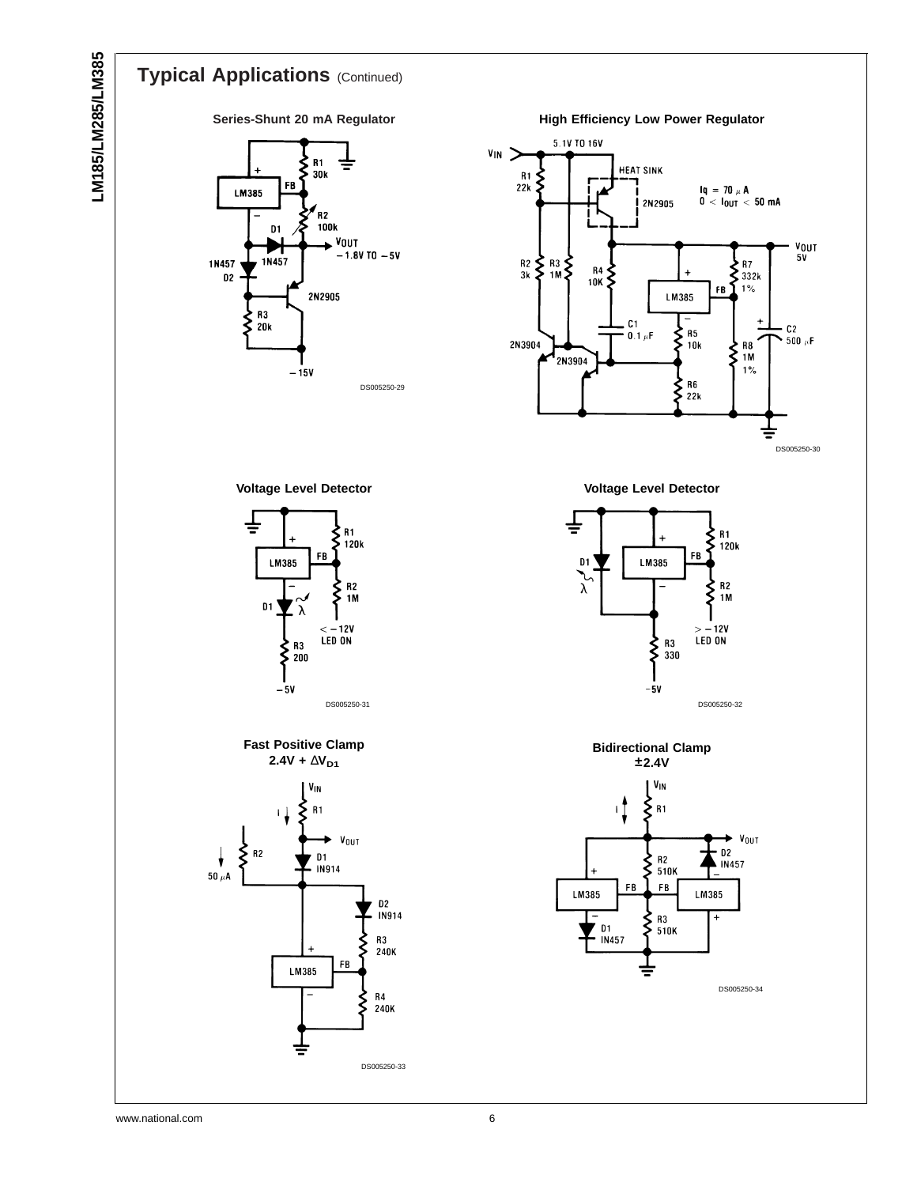# LM185/LM285/LM385 **LM185/LM285/LM385**

# **Typical Applications** (Continued)

#### **Series-Shunt 20 mA Regulator**



**High Efficiency Low Power Regulator**



**Voltage Level Detector**







**Voltage Level Detector**



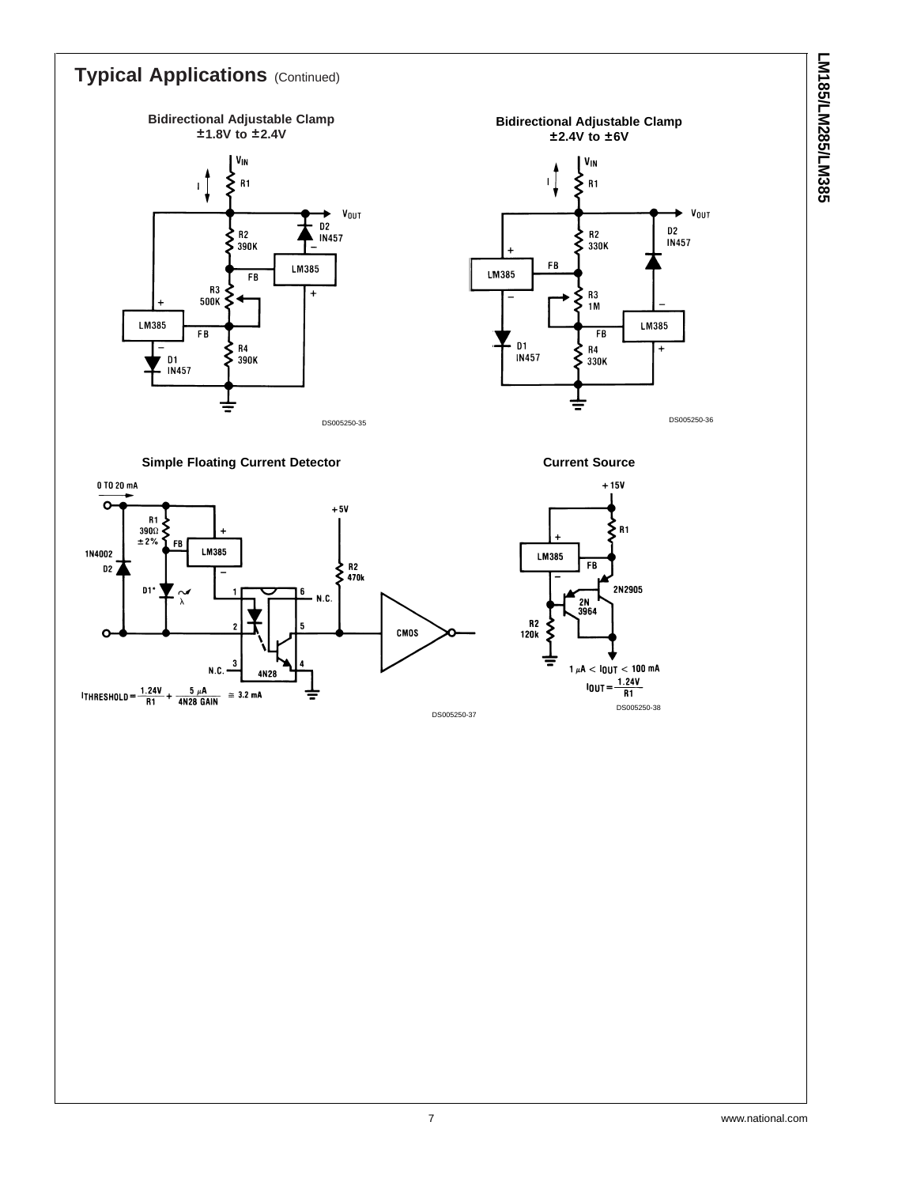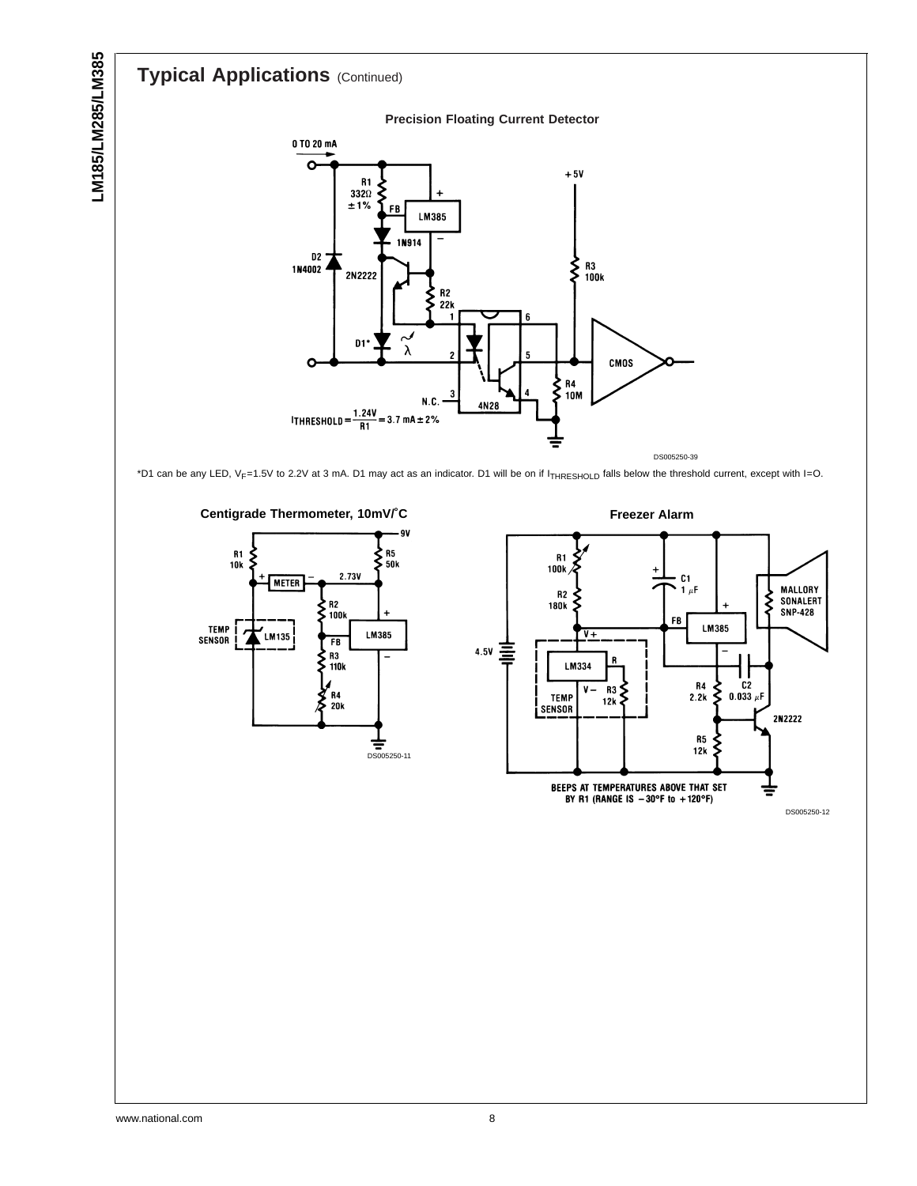# **Typical Applications** (Continued)



\*D1 can be any LED, VF=1.5V to 2.2V at 3 mA. D1 may act as an indicator. D1 will be on if ITHRESHOLD falls below the threshold current, except with I=O.

**Centigrade Thermometer, 10mV/˚C**







DS005250-12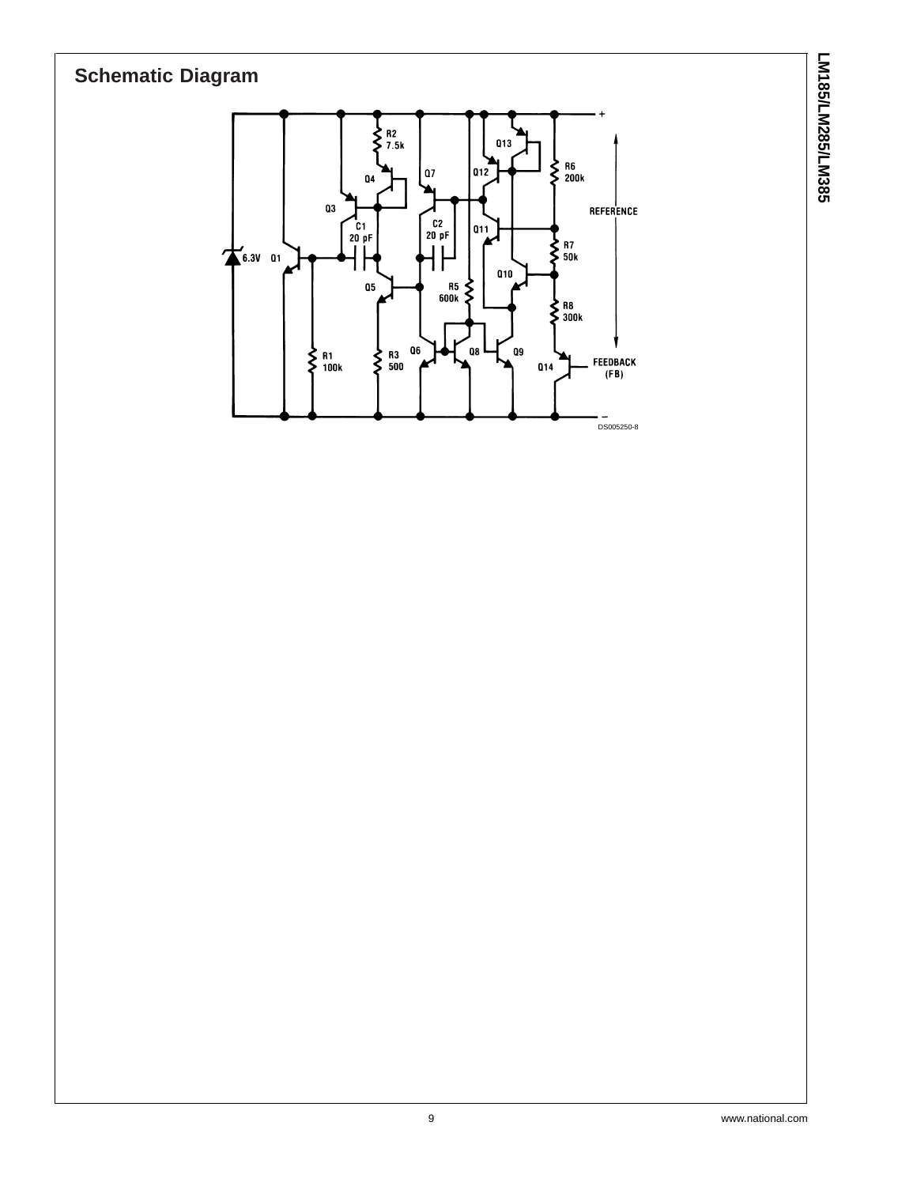# **Schematic Diagram**



LM185/LM285/LM385 **LM185/LM285/LM385**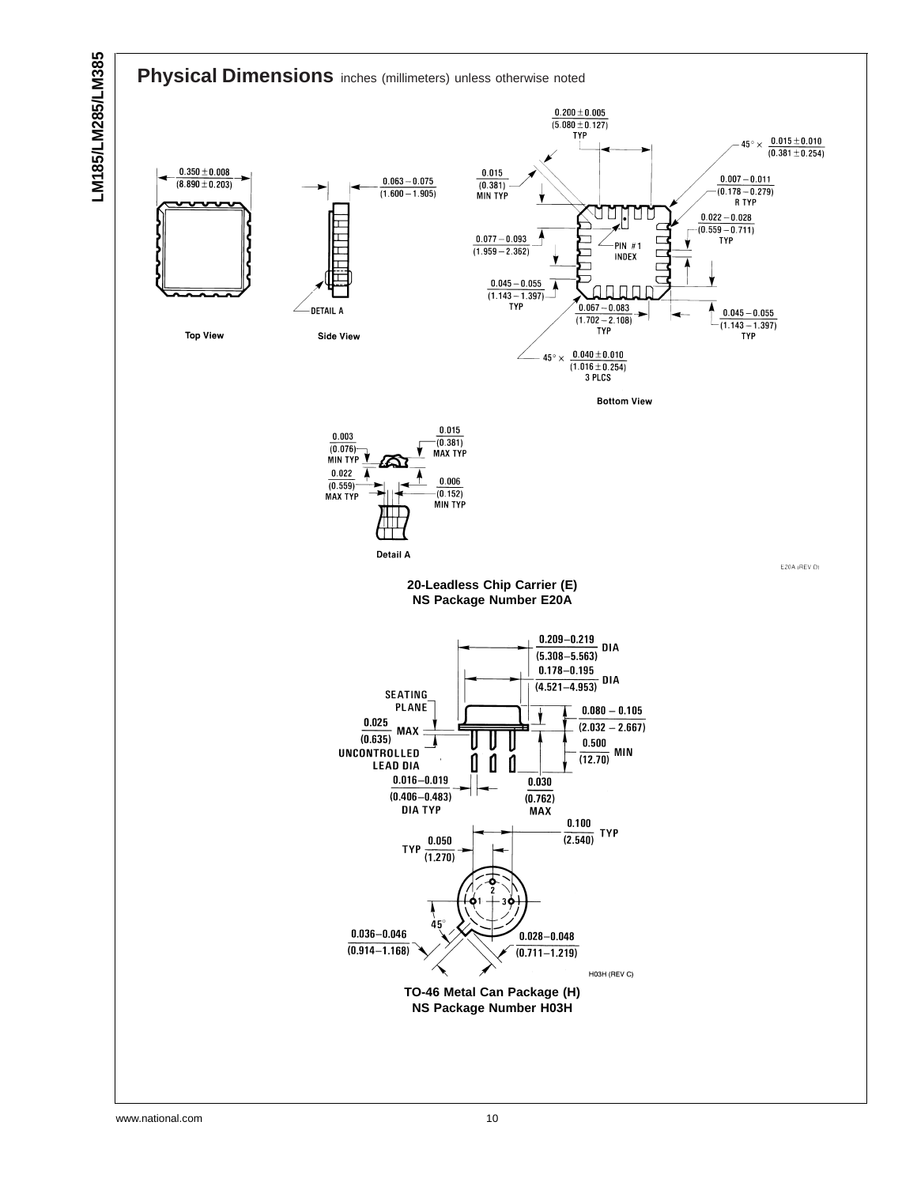

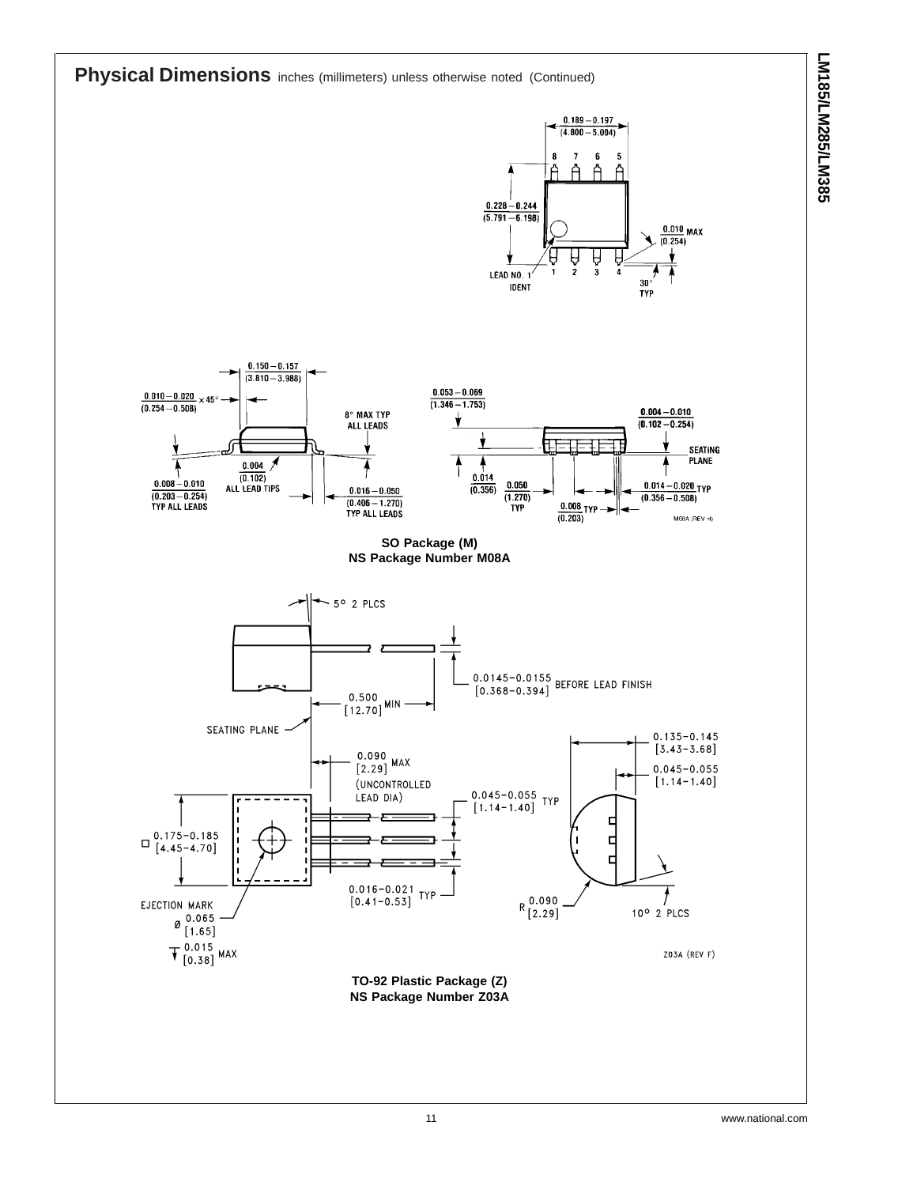